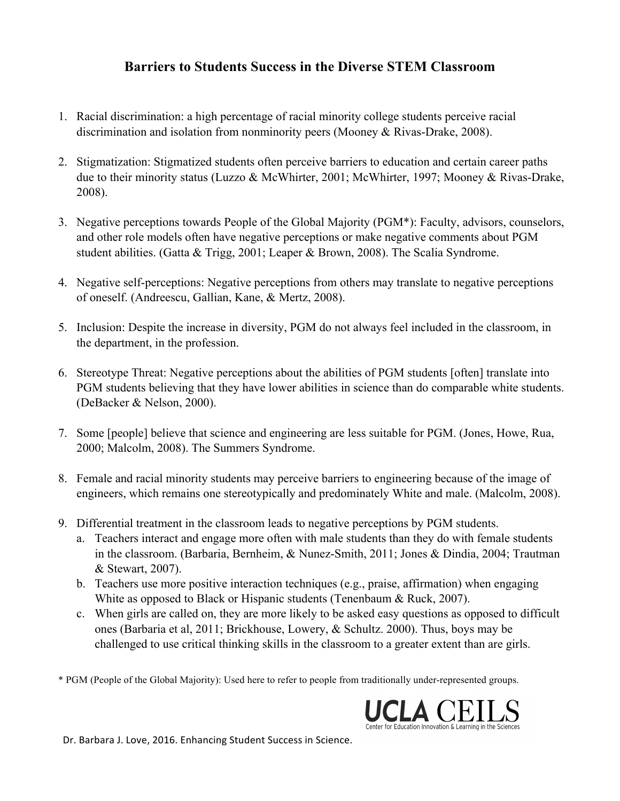## **Barriers to Students Success in the Diverse STEM Classroom**

- 1. Racial discrimination: a high percentage of racial minority college students perceive racial discrimination and isolation from nonminority peers (Mooney & Rivas-Drake, 2008).
- 2. Stigmatization: Stigmatized students often perceive barriers to education and certain career paths due to their minority status (Luzzo & McWhirter, 2001; McWhirter, 1997; Mooney & Rivas-Drake, 2008).
- 3. Negative perceptions towards People of the Global Majority (PGM\*): Faculty, advisors, counselors, and other role models often have negative perceptions or make negative comments about PGM student abilities. (Gatta & Trigg, 2001; Leaper & Brown, 2008). The Scalia Syndrome.
- 4. Negative self-perceptions: Negative perceptions from others may translate to negative perceptions of oneself. (Andreescu, Gallian, Kane, & Mertz, 2008).
- 5. Inclusion: Despite the increase in diversity, PGM do not always feel included in the classroom, in the department, in the profession.
- 6. Stereotype Threat: Negative perceptions about the abilities of PGM students [often] translate into PGM students believing that they have lower abilities in science than do comparable white students. (DeBacker & Nelson, 2000).
- 7. Some [people] believe that science and engineering are less suitable for PGM. (Jones, Howe, Rua, 2000; Malcolm, 2008). The Summers Syndrome.
- 8. Female and racial minority students may perceive barriers to engineering because of the image of engineers, which remains one stereotypically and predominately White and male. (Malcolm, 2008).
- 9. Differential treatment in the classroom leads to negative perceptions by PGM students.
	- a. Teachers interact and engage more often with male students than they do with female students in the classroom. (Barbaria, Bernheim, & Nunez-Smith, 2011; Jones & Dindia, 2004; Trautman & Stewart, 2007).
	- b. Teachers use more positive interaction techniques (e.g., praise, affirmation) when engaging White as opposed to Black or Hispanic students (Tenenbaum & Ruck, 2007).
	- c. When girls are called on, they are more likely to be asked easy questions as opposed to difficult ones (Barbaria et al, 2011; Brickhouse, Lowery, & Schultz. 2000). Thus, boys may be challenged to use critical thinking skills in the classroom to a greater extent than are girls.

\* PGM (People of the Global Majority): Used here to refer to people from traditionally under-represented groups.



Dr. Barbara J. Love, 2016. Enhancing Student Success in Science.